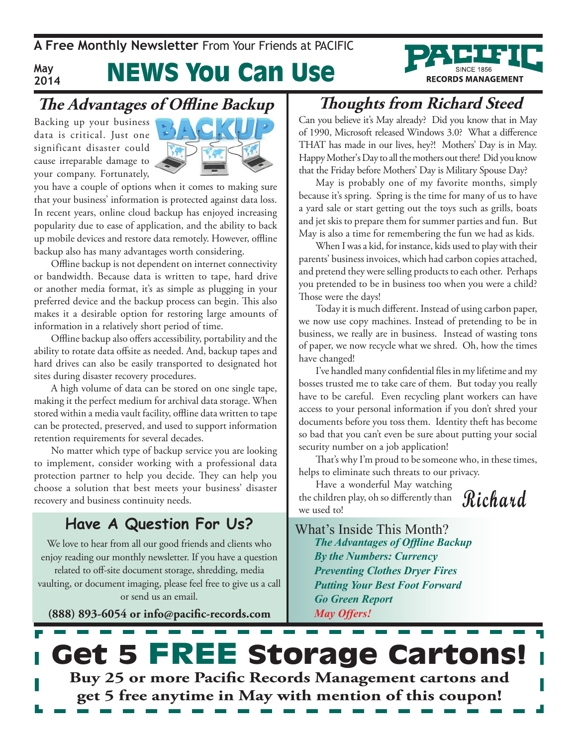**A Free Monthly Newsletter** From Your Friends at Pacific

#### **May 2014**

## News You Can Use

### **The Advantages of Offline Backup**

Backing up your business data is critical. Just one significant disaster could cause irreparable damage to your company. Fortunately,



you have a couple of options when it comes to making sure that your business' information is protected against data loss. In recent years, online cloud backup has enjoyed increasing popularity due to ease of application, and the ability to back up mobile devices and restore data remotely. However, offline backup also has many advantages worth considering.

Offline backup is not dependent on internet connectivity or bandwidth. Because data is written to tape, hard drive or another media format, it's as simple as plugging in your preferred device and the backup process can begin. This also makes it a desirable option for restoring large amounts of information in a relatively short period of time.

Offline backup also offers accessibility, portability and the ability to rotate data offsite as needed. And, backup tapes and hard drives can also be easily transported to designated hot sites during disaster recovery procedures.

A high volume of data can be stored on one single tape, making it the perfect medium for archival data storage. When stored within a media vault facility, offline data written to tape can be protected, preserved, and used to support information retention requirements for several decades.

No matter which type of backup service you are looking to implement, consider working with a professional data protection partner to help you decide. They can help you choose a solution that best meets your business' disaster recovery and business continuity needs.

#### **Have A Question For Us?**

We love to hear from all our good friends and clients who enjoy reading our monthly newsletter. If you have a question related to off-site document storage, shredding, media vaulting, or document imaging, please feel free to give us a call or send us an email.

**(888) 893-6054 or info@pacific-records.com**

### **Thoughts from Richard Steed**

**RECORDS MANAGEMENT** 

Can you believe it's May already? Did you know that in May of 1990, Microsoft released Windows 3.0? What a difference THAT has made in our lives, hey?! Mothers' Day is in May. Happy Mother's Day to all the mothers out there! Did you know that the Friday before Mothers' Day is Military Spouse Day?

May is probably one of my favorite months, simply because it's spring. Spring is the time for many of us to have a yard sale or start getting out the toys such as grills, boats and jet skis to prepare them for summer parties and fun. But May is also a time for remembering the fun we had as kids.

When I was a kid, for instance, kids used to play with their parents' business invoices, which had carbon copies attached, and pretend they were selling products to each other. Perhaps you pretended to be in business too when you were a child? Those were the days!

Today it is much different. Instead of using carbon paper, we now use copy machines. Instead of pretending to be in business, we really are in business. Instead of wasting tons of paper, we now recycle what we shred. Oh, how the times have changed!

I've handled many confidential files in my lifetime and my bosses trusted me to take care of them. But today you really have to be careful. Even recycling plant workers can have access to your personal information if you don't shred your documents before you toss them. Identity theft has become so bad that you can't even be sure about putting your social security number on a job application!

That's why I'm proud to be someone who, in these times, helps to eliminate such threats to our privacy.

Have a wonderful May watching the children play, oh so differently than we used to!

**Richard**

What's Inside This Month? *The Advantages of Offline Backup By the Numbers: Currency Preventing Clothes Dryer Fires Putting Your Best Foot Forward Go Green Report May Offers!*

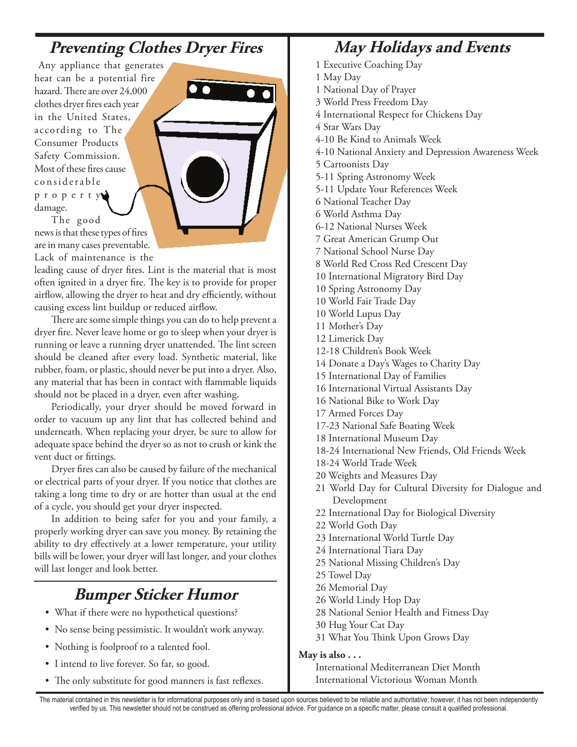### **Preventing Clothes Dryer Fires**

 Any appliance that generates heat can be a potential fire hazard. There are over 24,000 clothes dryer fires each year in the United States, according to The Consumer Products Safety Commission. Most of these fires cause c o n s i d e r a b l e p r o p e r t y damage.

The good news is that these types of fires are in many cases preventable. Lack of maintenance is the

leading cause of dryer fires. Lint is the material that is most often ignited in a dryer fire. The key is to provide for proper airflow, allowing the dryer to heat and dry efficiently, without causing excess lint buildup or reduced airflow.

There are some simple things you can do to help prevent a dryer fire. Never leave home or go to sleep when your dryer is running or leave a running dryer unattended. The lint screen should be cleaned after every load. Synthetic material, like rubber, foam, or plastic, should never be put into a dryer. Also, any material that has been in contact with flammable liquids should not be placed in a dryer, even after washing.

Periodically, your dryer should be moved forward in order to vacuum up any lint that has collected behind and underneath. When replacing your dryer, be sure to allow for adequate space behind the dryer so as not to crush or kink the vent duct or fittings.

Dryer fires can also be caused by failure of the mechanical or electrical parts of your dryer. If you notice that clothes are taking a long time to dry or are hotter than usual at the end of a cycle, you should get your dryer inspected.

In addition to being safer for you and your family, a properly working dryer can save you money. By retaining the ability to dry effectively at a lower temperature, your utility bills will be lower, your dryer will last longer, and your clothes will last longer and look better.

### **Bumper Sticker Humor**

- What if there were no hypothetical questions?
- No sense being pessimistic. It wouldn't work anyway.
- Nothing is foolproof to a talented fool.
- I intend to live forever. So far, so good.
- The only substitute for good manners is fast reflexes.

### **May Holidays and Events**

- 1 Executive Coaching Day
- 1 May Day
- 1 National Day of Prayer
- 3 World Press Freedom Day
- 4 International Respect for Chickens Day
- 4 Star Wars Day
- 4-10 Be Kind to Animals Week
- 4-10 National Anxiety and Depression Awareness Week
- 5 Cartoonists Day
- 5-11 Spring Astronomy Week
- 5-11 Update Your References Week
- 6 National Teacher Day
- 6 World Asthma Day
- 6-12 National Nurses Week
- 7 Great American Grump Out
- 7 National School Nurse Day
- 8 World Red Cross Red Crescent Day
- 10 International Migratory Bird Day
- 10 Spring Astronomy Day
- 10 World Fair Trade Day
- 10 World Lupus Day
- 11 Mother's Day
- 12 Limerick Day
- 12-18 Children's Book Week
- 14 Donate a Day's Wages to Charity Day
- 15 International Day of Families
- 16 International Virtual Assistants Day
- 16 National Bike to Work Day
- 17 Armed Forces Day
- 17-23 National Safe Boating Week
- 18 International Museum Day
- 18-24 International New Friends, Old Friends Week
- 18-24 World Trade Week
- 20 Weights and Measures Day
- 21 World Day for Cultural Diversity for Dialogue and Development
- 22 International Day for Biological Diversity
- 22 World Goth Day
- 23 International World Turtle Day
- 24 International Tiara Day
- 25 National Missing Children's Day
- 25 Towel Day
- 26 Memorial Day
- 26 World Lindy Hop Day
- 28 National Senior Health and Fitness Day
- 30 Hug Your Cat Day
- 31 What You Think Upon Grows Day

#### **May is also . . .**

International Mediterranean Diet Month International Victorious Woman Month

The material contained in this newsletter is for informational purposes only and is based upon sources believed to be reliable and authoritative; however, it has not been independently verified by us. This newsletter should not be construed as offering professional advice. For guidance on a specific matter, please consult a qualified professional.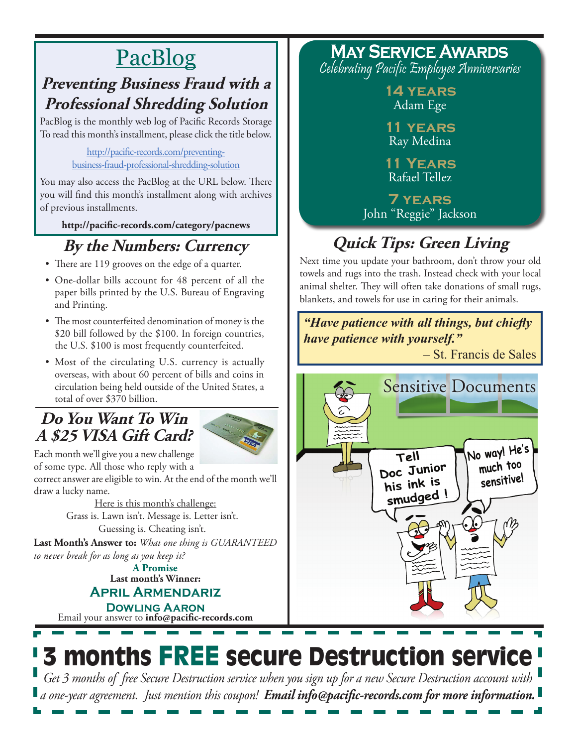## PacBlog

### **Preventing Business Fraud with a Professional Shredding Solution**

PacBlog is the monthly web log of Pacific Records Storage To read this month's installment, please click the title below.

> http://pacific-records.com/preventingbusiness-fraud-professional-shredding-solution

You may also access the PacBlog at the URL below. There you will find this month's installment along with archives of previous installments.

**http://pacific-records.com/category/pacnews**

### **By the Numbers: Currency**

- There are 119 grooves on the edge of a quarter.
- • One-dollar bills account for 48 percent of all the paper bills printed by the U.S. Bureau of Engraving and Printing.
- The most counterfeited denomination of money is the \$20 bill followed by the \$100. In foreign countries, the U.S. \$100 is most frequently counterfeited.
- Most of the circulating U.S. currency is actually overseas, with about 60 percent of bills and coins in circulation being held outside of the United States, a total of over \$370 billion.

### **Do You Want To Win A \$25 VISA Gift Card?**



Each month we'll give you a new challenge of some type. All those who reply with a

correct answer are eligible to win. At the end of the month we'll draw a lucky name.

Here is this month's challenge: Grass is. Lawn isn't. Message is. Letter isn't. Guessing is. Cheating isn't.

**Last Month's Answer to:** *What one thing is GUARANTEED to never break for as long as you keep it?*

**Last month's Winner: April Armendariz A Promise**

Email your answer to **info@pacific-records.com Dowling Aaron**

**May Service Awards** Celebrating Pacific Employee Anniversaries

> **14 years** Adam Ege

**11 years** Ray Medina

**11 Years** Rafael Tellez

**7 years** John "Reggie" Jackson

## **Quick Tips: Green Living**

Next time you update your bathroom, don't throw your old towels and rugs into the trash. Instead check with your local animal shelter. They will often take donations of small rugs, blankets, and towels for use in caring for their animals.



# 3 months FREE secure Destruction service

*Get 3 months of free Secure Destruction service when you sign up for a new Secure Destruction account with a one-year agreement. Just mention this coupon! Email info@pacific-records.com for more information.*